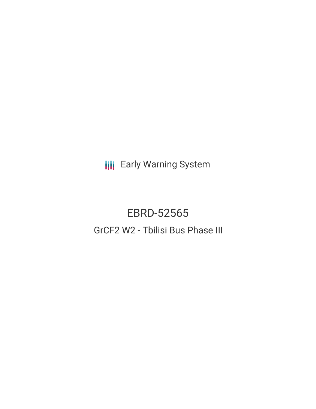**III** Early Warning System

# EBRD-52565 GrCF2 W2 - Tbilisi Bus Phase III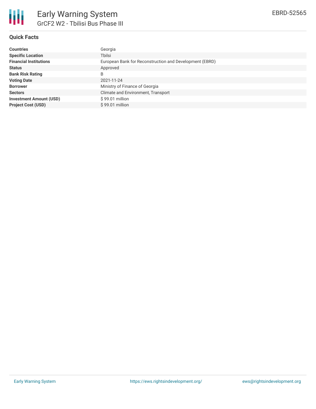

## **Quick Facts**

| <b>Countries</b>               | Georgia                                                 |
|--------------------------------|---------------------------------------------------------|
| <b>Specific Location</b>       | Tbilsi                                                  |
| <b>Financial Institutions</b>  | European Bank for Reconstruction and Development (EBRD) |
| <b>Status</b>                  | Approved                                                |
| <b>Bank Risk Rating</b>        | B                                                       |
| <b>Voting Date</b>             | 2021-11-24                                              |
| <b>Borrower</b>                | Ministry of Finance of Georgia                          |
| <b>Sectors</b>                 | Climate and Environment, Transport                      |
| <b>Investment Amount (USD)</b> | $$99.01$ million                                        |
| <b>Project Cost (USD)</b>      | $$99.01$ million                                        |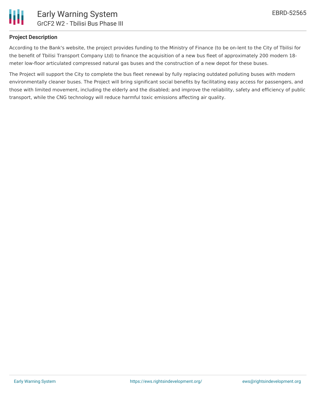

#### **Project Description**

According to the Bank's website, the project provides funding to the Ministry of Finance (to be on-lent to the City of Tbilisi for the benefit of Tbilisi Transport Company Ltd) to finance the acquisition of a new bus fleet of approximately 200 modern 18 meter low-floor articulated compressed natural gas buses and the construction of a new depot for these buses.

The Project will support the City to complete the bus fleet renewal by fully replacing outdated polluting buses with modern environmentally cleaner buses. The Project will bring significant social benefits by facilitating easy access for passengers, and those with limited movement, including the elderly and the disabled; and improve the reliability, safety and efficiency of public transport, while the CNG technology will reduce harmful toxic emissions affecting air quality.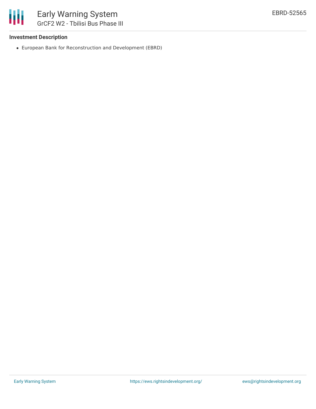

## **Investment Description**

European Bank for Reconstruction and Development (EBRD)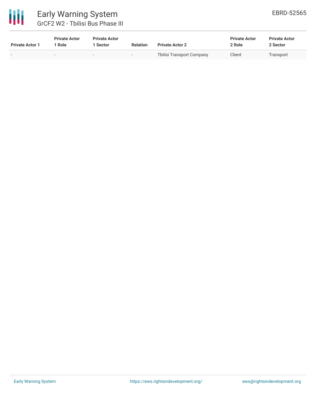

# Early Warning System GrCF2 W2 - Tbilisi Bus Phase III

| <b>Private Actor 1</b> | <b>Private Actor</b><br>Role | <b>Private Actor</b><br>1 Sector | <b>Relation</b> | <b>Private Actor 2</b>    | <b>Private Actor</b><br>2 Role | <b>Private Actor</b><br>2 Sector |  |
|------------------------|------------------------------|----------------------------------|-----------------|---------------------------|--------------------------------|----------------------------------|--|
|                        | $\sim$                       | $\overline{\phantom{a}}$         |                 | Tbilisi Transport Company | Client                         | Transport                        |  |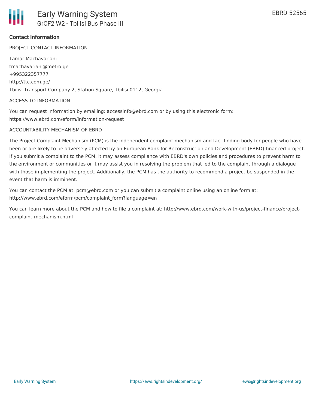

#### **Contact Information**

PROJECT CONTACT INFORMATION

Tamar Machavariani tmachavariani@metro.ge +995322357777 http://ttc.com.ge/ Tbilisi Transport Company 2, Station Square, Tbilisi 0112, Georgia

#### ACCESS TO INFORMATION

You can request information by emailing: accessinfo@ebrd.com or by using this electronic form: https://www.ebrd.com/eform/information-request

#### ACCOUNTABILITY MECHANISM OF EBRD

The Project Complaint Mechanism (PCM) is the independent complaint mechanism and fact-finding body for people who have been or are likely to be adversely affected by an European Bank for Reconstruction and Development (EBRD)-financed project. If you submit a complaint to the PCM, it may assess compliance with EBRD's own policies and procedures to prevent harm to the environment or communities or it may assist you in resolving the problem that led to the complaint through a dialogue with those implementing the project. Additionally, the PCM has the authority to recommend a project be suspended in the event that harm is imminent.

You can contact the PCM at: pcm@ebrd.com or you can submit a complaint online using an online form at: http://www.ebrd.com/eform/pcm/complaint\_form?language=en

You can learn more about the PCM and how to file a complaint at: http://www.ebrd.com/work-with-us/project-finance/projectcomplaint-mechanism.html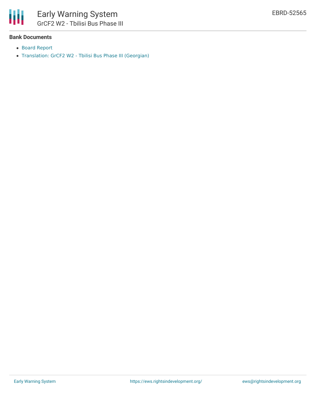

#### **Bank Documents**

- Board [Report](https://ewsdata.rightsindevelopment.org/files/documents/65/EBRD-52565.pdf)
- [Translation:](https://www.ebrd.com/work-with-us/projects/psd-translation/52565/1395299568864/GrCF2_W2_-_Tbilisi_Bus_Phase_III_(Georgian).pdf?blobnocache=true) GrCF2 W2 Tbilisi Bus Phase III (Georgian)